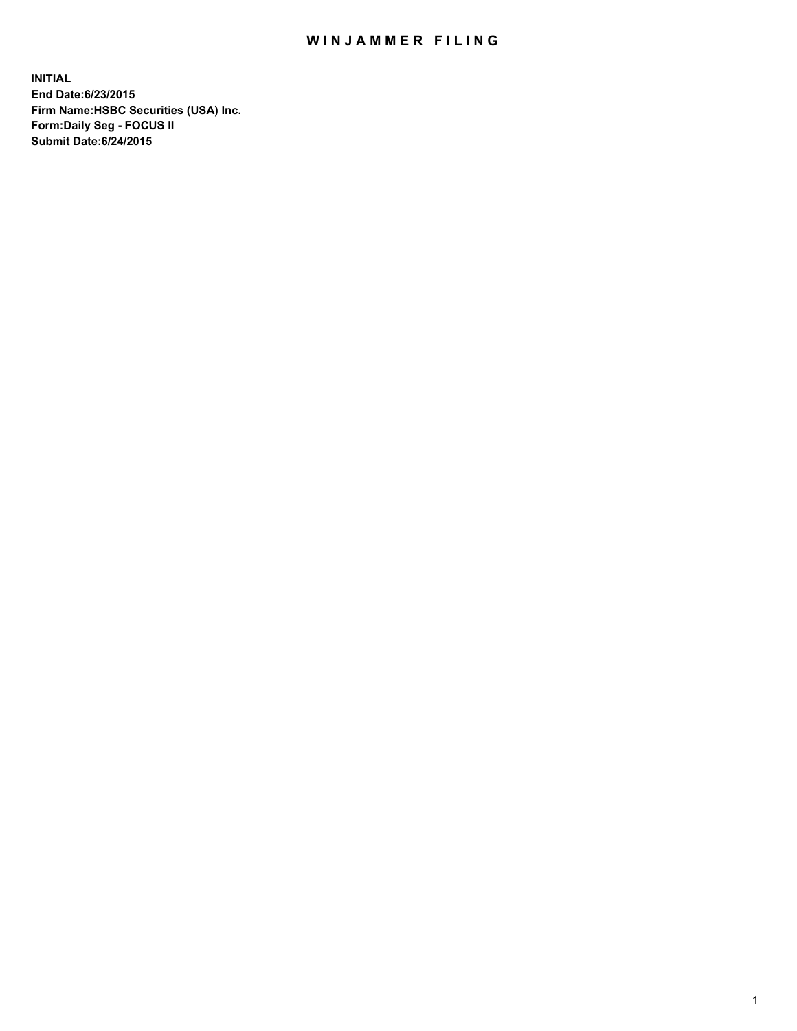## WIN JAMMER FILING

**INITIAL End Date:6/23/2015 Firm Name:HSBC Securities (USA) Inc. Form:Daily Seg - FOCUS II Submit Date:6/24/2015**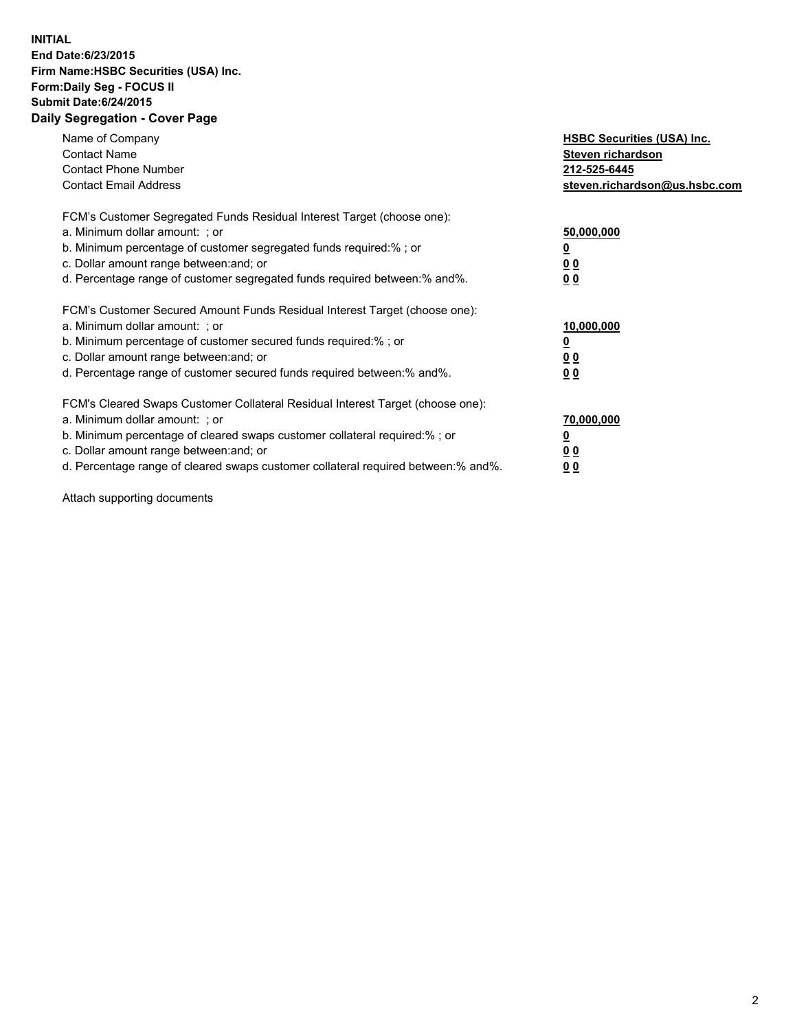## **INITIAL End Date:6/23/2015 Firm Name:HSBC Securities (USA) Inc. Form:Daily Seg - FOCUS II Submit Date:6/24/2015 Daily Segregation - Cover Page**

| Name of Company<br><b>Contact Name</b><br><b>Contact Phone Number</b><br><b>Contact Email Address</b>                                                                                                                                                                                                                          | <b>HSBC Securities (USA) Inc.</b><br>Steven richardson<br>212-525-6445<br>steven.richardson@us.hsbc.com |
|--------------------------------------------------------------------------------------------------------------------------------------------------------------------------------------------------------------------------------------------------------------------------------------------------------------------------------|---------------------------------------------------------------------------------------------------------|
| FCM's Customer Segregated Funds Residual Interest Target (choose one):<br>a. Minimum dollar amount: ; or<br>b. Minimum percentage of customer segregated funds required:%; or<br>c. Dollar amount range between: and; or<br>d. Percentage range of customer segregated funds required between: % and %.                        | 50,000,000<br>0 <sub>0</sub><br>0 <sub>0</sub>                                                          |
| FCM's Customer Secured Amount Funds Residual Interest Target (choose one):<br>a. Minimum dollar amount: ; or<br>b. Minimum percentage of customer secured funds required:%; or<br>c. Dollar amount range between: and; or<br>d. Percentage range of customer secured funds required between:% and%.                            | 10,000,000<br><u>0</u><br>0 <sub>0</sub><br>0 <sub>0</sub>                                              |
| FCM's Cleared Swaps Customer Collateral Residual Interest Target (choose one):<br>a. Minimum dollar amount: ; or<br>b. Minimum percentage of cleared swaps customer collateral required:% ; or<br>c. Dollar amount range between: and; or<br>d. Percentage range of cleared swaps customer collateral required between:% and%. | 70,000,000<br>00<br><u>00</u>                                                                           |

Attach supporting documents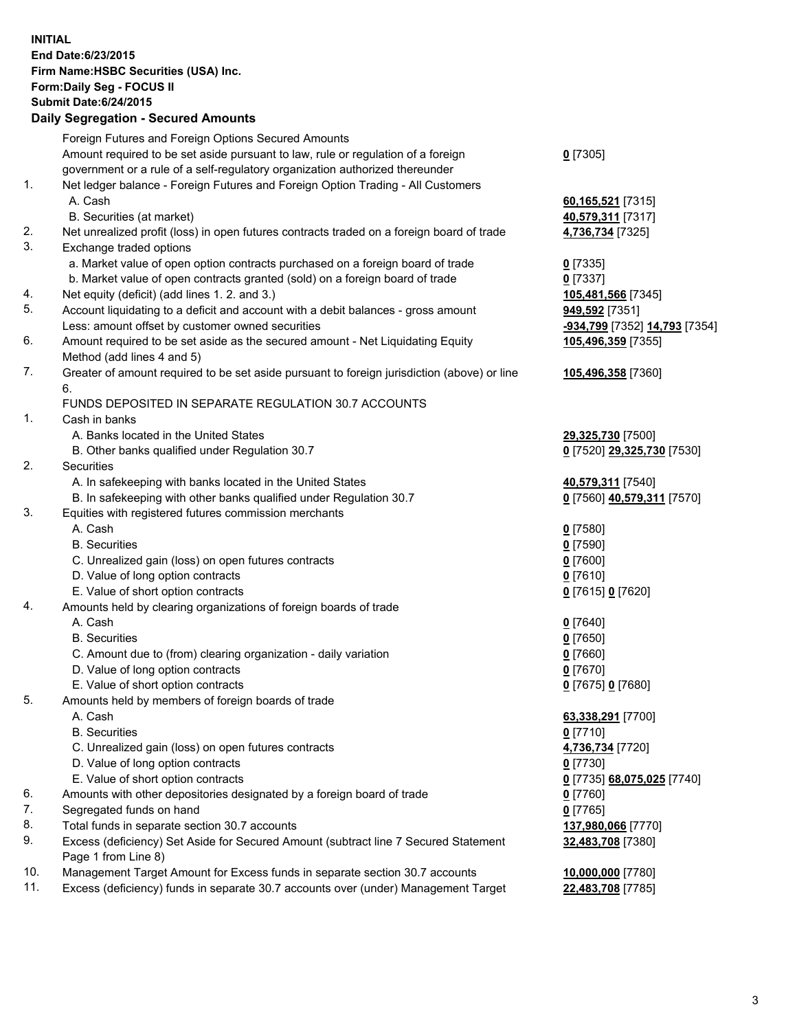**INITIAL End Date:6/23/2015 Firm Name:HSBC Securities (USA) Inc. Form:Daily Seg - FOCUS II Submit Date:6/24/2015 Daily Segregation - Secured Amounts**

Foreign Futures and Foreign Options Secured Amounts Amount required to be set aside pursuant to law, rule or regulation of a foreign government or a rule of a self-regulatory organization authorized thereunder **0** [7305] 1. Net ledger balance - Foreign Futures and Foreign Option Trading - All Customers A. Cash **60,165,521** [7315] B. Securities (at market) **40,579,311** [7317] 2. Net unrealized profit (loss) in open futures contracts traded on a foreign board of trade **4,736,734** [7325] 3. Exchange traded options a. Market value of open option contracts purchased on a foreign board of trade **0** [7335] b. Market value of open contracts granted (sold) on a foreign board of trade **0** [7337] 4. Net equity (deficit) (add lines 1. 2. and 3.) **105,481,566** [7345] 5. Account liquidating to a deficit and account with a debit balances - gross amount **949,592** [7351] Less: amount offset by customer owned securities **-934,799** [7352] **14,793** [7354] 6. Amount required to be set aside as the secured amount - Net Liquidating Equity Method (add lines 4 and 5) **105,496,359** [7355] 7. Greater of amount required to be set aside pursuant to foreign jurisdiction (above) or line 6. **105,496,358** [7360] FUNDS DEPOSITED IN SEPARATE REGULATION 30.7 ACCOUNTS 1. Cash in banks A. Banks located in the United States **29,325,730** [7500] B. Other banks qualified under Regulation 30.7 **0** [7520] **29,325,730** [7530] 2. Securities A. In safekeeping with banks located in the United States **40,579,311** [7540] B. In safekeeping with other banks qualified under Regulation 30.7 **0** [7560] **40,579,311** [7570] 3. Equities with registered futures commission merchants A. Cash **0** [7580] B. Securities **0** [7590] C. Unrealized gain (loss) on open futures contracts **0** [7600] D. Value of long option contracts **0** [7610] E. Value of short option contracts **0** [7615] **0** [7620] 4. Amounts held by clearing organizations of foreign boards of trade A. Cash **0** [7640] B. Securities **0** [7650] C. Amount due to (from) clearing organization - daily variation **0** [7660] D. Value of long option contracts **0** [7670] E. Value of short option contracts **0** [7675] **0** [7680] 5. Amounts held by members of foreign boards of trade A. Cash **63,338,291** [7700] B. Securities **0** [7710] C. Unrealized gain (loss) on open futures contracts **4,736,734** [7720] D. Value of long option contracts **0** [7730] E. Value of short option contracts **0** [7735] **68,075,025** [7740] 6. Amounts with other depositories designated by a foreign board of trade **0** [7760] 7. Segregated funds on hand **0** [7765] 8. Total funds in separate section 30.7 accounts **137,980,066** [7770] 9. Excess (deficiency) Set Aside for Secured Amount (subtract line 7 Secured Statement Page 1 from Line 8) **32,483,708** [7380] 10. Management Target Amount for Excess funds in separate section 30.7 accounts **10,000,000** [7780]

11. Excess (deficiency) funds in separate 30.7 accounts over (under) Management Target **22,483,708** [7785]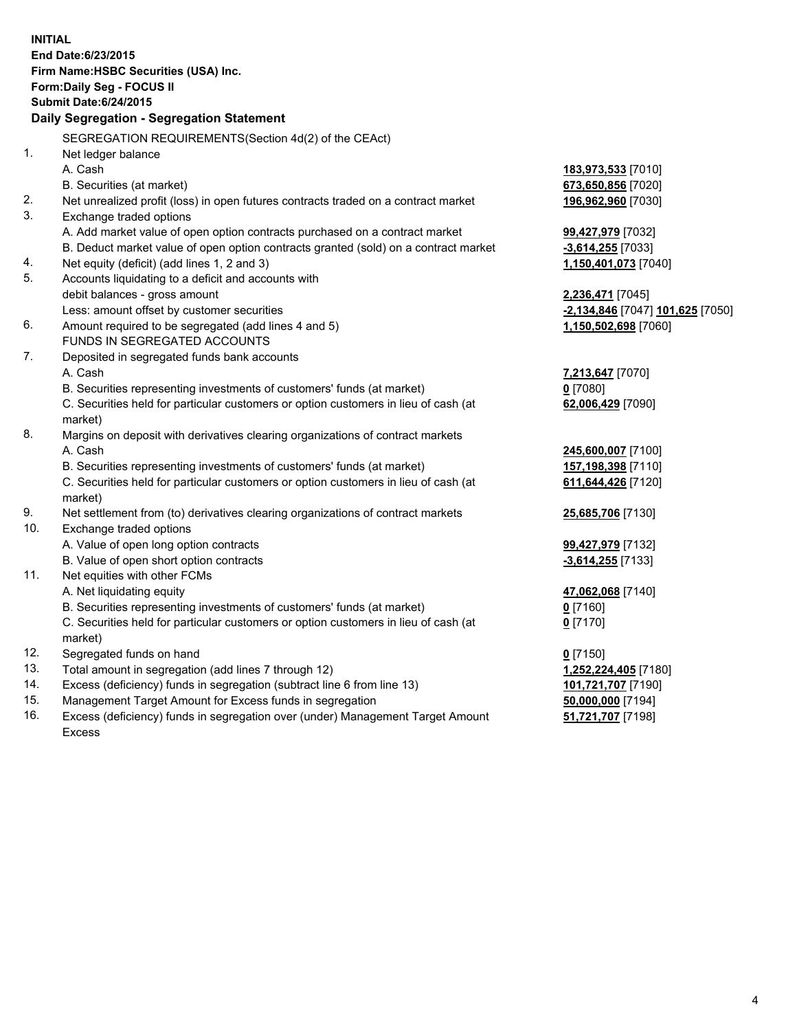| <b>INITIAL</b>                        |                                                                                     |                                  |  |  |
|---------------------------------------|-------------------------------------------------------------------------------------|----------------------------------|--|--|
| End Date: 6/23/2015                   |                                                                                     |                                  |  |  |
| Firm Name: HSBC Securities (USA) Inc. |                                                                                     |                                  |  |  |
| Form: Daily Seg - FOCUS II            |                                                                                     |                                  |  |  |
| <b>Submit Date:6/24/2015</b>          |                                                                                     |                                  |  |  |
|                                       | Daily Segregation - Segregation Statement                                           |                                  |  |  |
|                                       |                                                                                     |                                  |  |  |
|                                       | SEGREGATION REQUIREMENTS(Section 4d(2) of the CEAct)                                |                                  |  |  |
| 1.                                    | Net ledger balance                                                                  |                                  |  |  |
|                                       | A. Cash                                                                             | 183,973,533 [7010]               |  |  |
|                                       | B. Securities (at market)                                                           | 673,650,856 [7020]               |  |  |
| 2.                                    | Net unrealized profit (loss) in open futures contracts traded on a contract market  | 196,962,960 [7030]               |  |  |
| 3.                                    | Exchange traded options                                                             |                                  |  |  |
|                                       | A. Add market value of open option contracts purchased on a contract market         | 99,427,979 [7032]                |  |  |
|                                       | B. Deduct market value of open option contracts granted (sold) on a contract market | $-3,614,255$ [7033]              |  |  |
| 4.                                    | Net equity (deficit) (add lines 1, 2 and 3)                                         | 1,150,401,073 [7040]             |  |  |
| 5.                                    | Accounts liquidating to a deficit and accounts with                                 |                                  |  |  |
|                                       | debit balances - gross amount                                                       | 2,236,471 [7045]                 |  |  |
|                                       | Less: amount offset by customer securities                                          | -2,134,846 [7047] 101,625 [7050] |  |  |
| 6.                                    | Amount required to be segregated (add lines 4 and 5)                                | 1,150,502,698 [7060]             |  |  |
|                                       | FUNDS IN SEGREGATED ACCOUNTS                                                        |                                  |  |  |
| 7.                                    | Deposited in segregated funds bank accounts                                         |                                  |  |  |
|                                       | A. Cash                                                                             | 7,213,647 [7070]                 |  |  |
|                                       | B. Securities representing investments of customers' funds (at market)              | $0$ [7080]                       |  |  |
|                                       | C. Securities held for particular customers or option customers in lieu of cash (at | 62,006,429 [7090]                |  |  |
|                                       | market)                                                                             |                                  |  |  |
| 8.                                    | Margins on deposit with derivatives clearing organizations of contract markets      |                                  |  |  |
|                                       | A. Cash                                                                             | 245,600,007 [7100]               |  |  |
|                                       | B. Securities representing investments of customers' funds (at market)              | 157,198,398 [7110]               |  |  |
|                                       | C. Securities held for particular customers or option customers in lieu of cash (at | 611,644,426 [7120]               |  |  |
|                                       | market)                                                                             |                                  |  |  |
| 9.                                    | Net settlement from (to) derivatives clearing organizations of contract markets     | 25,685,706 [7130]                |  |  |
| 10.                                   | Exchange traded options                                                             |                                  |  |  |
|                                       | A. Value of open long option contracts                                              | 99,427,979 [7132]                |  |  |
|                                       | B. Value of open short option contracts                                             | -3,614,255 [7133]                |  |  |
| 11.                                   | Net equities with other FCMs                                                        |                                  |  |  |
|                                       | A. Net liquidating equity                                                           | 47,062,068 [7140]                |  |  |
|                                       | B. Securities representing investments of customers' funds (at market)              | $0$ [7160]                       |  |  |
|                                       | C. Securities held for particular customers or option customers in lieu of cash (at | $0$ [7170]                       |  |  |
|                                       | market)                                                                             |                                  |  |  |
| 12.                                   | Segregated funds on hand                                                            | $0$ [7150]                       |  |  |
| 13.                                   | Total amount in segregation (add lines 7 through 12)                                | 1,252,224,405 [7180]             |  |  |
| 14.                                   | Excess (deficiency) funds in segregation (subtract line 6 from line 13)             | 101,721,707 [7190]               |  |  |
| 15.                                   | Management Target Amount for Excess funds in segregation                            | 50,000,000 [7194]                |  |  |
| 16.                                   | Excess (deficiency) funds in segregation over (under) Management Target Amount      | 51,721,707 [7198]                |  |  |
|                                       | Excess                                                                              |                                  |  |  |